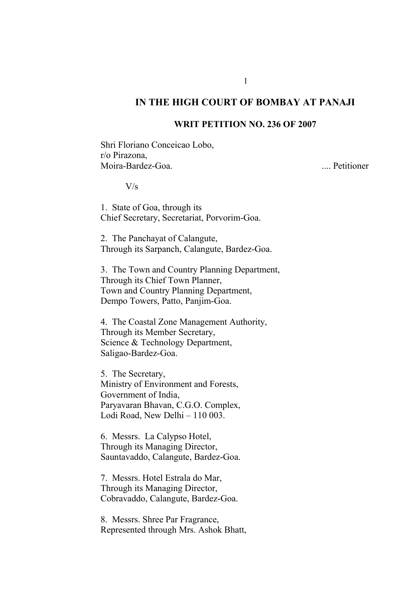# **IN THE HIGH COURT OF BOMBAY AT PANAJI**

# **WRIT PETITION NO. 236 OF 2007**

Shri Floriano Conceicao Lobo, r/o Pirazona, Moira-Bardez-Goa. .... Petitioner

 $V/s$ 

1. State of Goa, through its Chief Secretary, Secretariat, Porvorim-Goa.

2. The Panchayat of Calangute, Through its Sarpanch, Calangute, Bardez-Goa.

3. The Town and Country Planning Department, Through its Chief Town Planner, Town and Country Planning Department, Dempo Towers, Patto, Panjim-Goa.

4. The Coastal Zone Management Authority, Through its Member Secretary, Science & Technology Department, Saligao-Bardez-Goa.

5. The Secretary, Ministry of Environment and Forests, Government of India, Paryavaran Bhavan, C.G.O. Complex, Lodi Road, New Delhi – 110 003.

6. Messrs. La Calypso Hotel, Through its Managing Director, Sauntavaddo, Calangute, Bardez-Goa.

7. Messrs. Hotel Estrala do Mar, Through its Managing Director, Cobravaddo, Calangute, Bardez-Goa.

8. Messrs. Shree Par Fragrance, Represented through Mrs. Ashok Bhatt,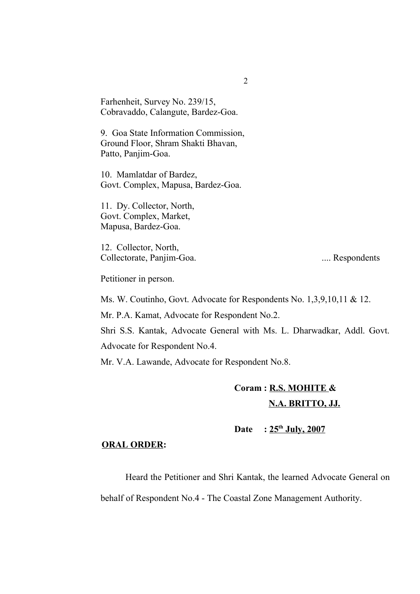Farhenheit, Survey No. 239/15, Cobravaddo, Calangute, Bardez-Goa.

9. Goa State Information Commission, Ground Floor, Shram Shakti Bhavan, Patto, Panjim-Goa.

10. Mamlatdar of Bardez, Govt. Complex, Mapusa, Bardez-Goa.

11. Dy. Collector, North, Govt. Complex, Market, Mapusa, Bardez-Goa.

12. Collector, North, Collectorate, Panjim-Goa. .... Respondents

Petitioner in person.

Ms. W. Coutinho, Govt. Advocate for Respondents No. 1,3,9,10,11 & 12.

Mr. P.A. Kamat, Advocate for Respondent No.2.

Shri S.S. Kantak, Advocate General with Ms. L. Dharwadkar, Addl. Govt. Advocate for Respondent No.4.

Mr. V.A. Lawande, Advocate for Respondent No.8.

# **Coram : R.S. MOHITE & N.A. BRITTO, JJ.**

#### **Date th J uly, 2007**

### **ORAL ORDER:**

Heard the Petitioner and Shri Kantak, the learned Advocate General on

behalf of Respondent No.4 - The Coastal Zone Management Authority.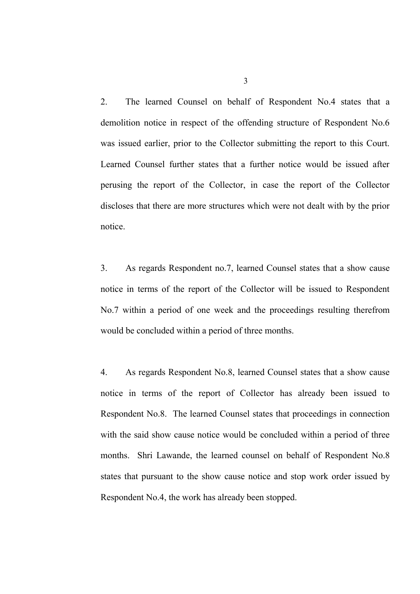2. The learned Counsel on behalf of Respondent No.4 states that a demolition notice in respect of the offending structure of Respondent No.6 was issued earlier, prior to the Collector submitting the report to this Court. Learned Counsel further states that a further notice would be issued after perusing the report of the Collector, in case the report of the Collector discloses that there are more structures which were not dealt with by the prior notice.

3. As regards Respondent no.7, learned Counsel states that a show cause notice in terms of the report of the Collector will be issued to Respondent No.7 within a period of one week and the proceedings resulting therefrom would be concluded within a period of three months.

4. As regards Respondent No.8, learned Counsel states that a show cause notice in terms of the report of Collector has already been issued to Respondent No.8. The learned Counsel states that proceedings in connection with the said show cause notice would be concluded within a period of three months. Shri Lawande, the learned counsel on behalf of Respondent No.8 states that pursuant to the show cause notice and stop work order issued by Respondent No.4, the work has already been stopped.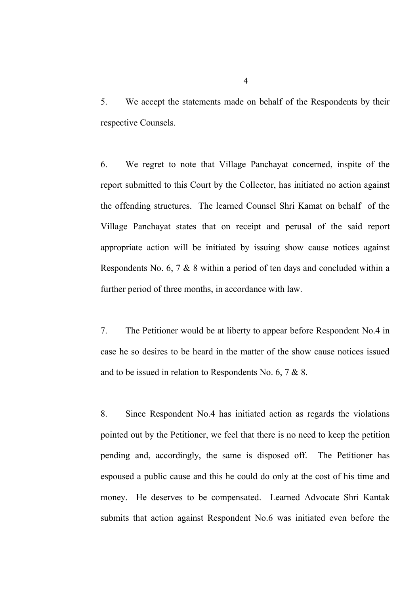5. We accept the statements made on behalf of the Respondents by their respective Counsels.

6. We regret to note that Village Panchayat concerned, inspite of the report submitted to this Court by the Collector, has initiated no action against the offending structures. The learned Counsel Shri Kamat on behalf of the Village Panchayat states that on receipt and perusal of the said report appropriate action will be initiated by issuing show cause notices against Respondents No. 6, 7 & 8 within a period of ten days and concluded within a further period of three months, in accordance with law.

7. The Petitioner would be at liberty to appear before Respondent No.4 in case he so desires to be heard in the matter of the show cause notices issued and to be issued in relation to Respondents No. 6, 7 & 8.

8. Since Respondent No.4 has initiated action as regards the violations pointed out by the Petitioner, we feel that there is no need to keep the petition pending and, accordingly, the same is disposed off. The Petitioner has espoused a public cause and this he could do only at the cost of his time and money. He deserves to be compensated. Learned Advocate Shri Kantak submits that action against Respondent No.6 was initiated even before the

4